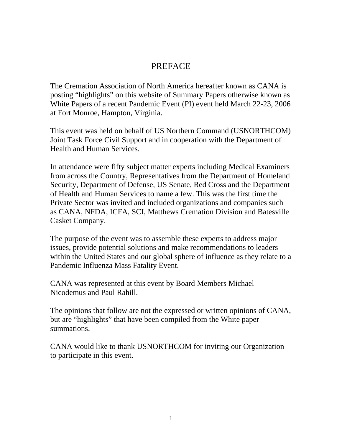# PREFACE

The Cremation Association of North America hereafter known as CANA is posting "highlights" on this website of Summary Papers otherwise known as White Papers of a recent Pandemic Event (PI) event held March 22-23, 2006 at Fort Monroe, Hampton, Virginia.

This event was held on behalf of US Northern Command (USNORTHCOM) Joint Task Force Civil Support and in cooperation with the Department of Health and Human Services.

In attendance were fifty subject matter experts including Medical Examiners from across the Country, Representatives from the Department of Homeland Security, Department of Defense, US Senate, Red Cross and the Department of Health and Human Services to name a few. This was the first time the Private Sector was invited and included organizations and companies such as CANA, NFDA, ICFA, SCI, Matthews Cremation Division and Batesville Casket Company.

The purpose of the event was to assemble these experts to address major issues, provide potential solutions and make recommendations to leaders within the United States and our global sphere of influence as they relate to a Pandemic Influenza Mass Fatality Event.

CANA was represented at this event by Board Members Michael Nicodemus and Paul Rahill.

The opinions that follow are not the expressed or written opinions of CANA, but are "highlights" that have been compiled from the White paper summations.

CANA would like to thank USNORTHCOM for inviting our Organization to participate in this event.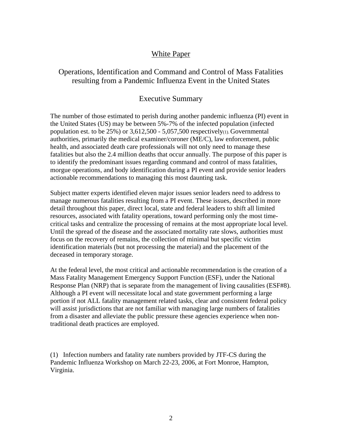#### White Paper

#### Operations, Identification and Command and Control of Mass Fatalities resulting from a Pandemic Influenza Event in the United States

#### Executive Summary

The number of those estimated to perish during another pandemic influenza (PI) event in the United States (US) may be between 5%-7% of the infected population (infected population est. to be  $25\%$ ) or  $3,612,500 - 5,057,500$  respectively(1). Governmental authorities, primarily the medical examiner/coroner (ME/C), law enforcement, public health, and associated death care professionals will not only need to manage these fatalities but also the 2.4 million deaths that occur annually. The purpose of this paper is to identify the predominant issues regarding command and control of mass fatalities, morgue operations, and body identification during a PI event and provide senior leaders actionable recommendations to managing this most daunting task.

Subject matter experts identified eleven major issues senior leaders need to address to manage numerous fatalities resulting from a PI event. These issues, described in more detail throughout this paper, direct local, state and federal leaders to shift all limited resources, associated with fatality operations, toward performing only the most timecritical tasks and centralize the processing of remains at the most appropriate local level. Until the spread of the disease and the associated mortality rate slows, authorities must focus on the recovery of remains, the collection of minimal but specific victim identification materials (but not processing the material) and the placement of the deceased in temporary storage.

At the federal level, the most critical and actionable recommendation is the creation of a Mass Fatality Management Emergency Support Function (ESF), under the National Response Plan (NRP) that is separate from the management of living causalities (ESF#8). Although a PI event will necessitate local and state government performing a large portion if not ALL fatality management related tasks, clear and consistent federal policy will assist jurisdictions that are not familiar with managing large numbers of fatalities from a disaster and alleviate the public pressure these agencies experience when nontraditional death practices are employed.

(1) Infection numbers and fatality rate numbers provided by JTF-CS during the Pandemic Influenza Workshop on March 22-23, 2006, at Fort Monroe, Hampton, Virginia.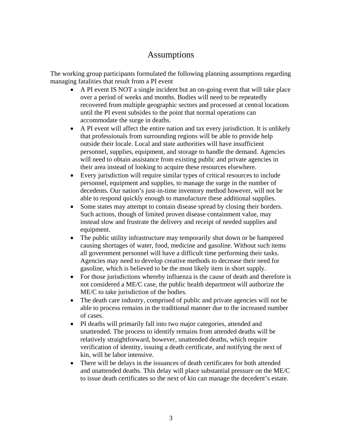# Assumptions

The working group participants formulated the following planning assumptions regarding managing fatalities that result from a PI event

- A PI event IS NOT a single incident but an on-going event that will take place over a period of weeks and months. Bodies will need to be repeatedly recovered from multiple geographic sectors and processed at central locations until the PI event subsides to the point that normal operations can accommodate the surge in deaths.
- A PI event will affect the entire nation and tax every jurisdiction. It is unlikely that professionals from surrounding regions will be able to provide help outside their locale. Local and state authorities will have insufficient personnel, supplies, equipment, and storage to handle the demand. Agencies will need to obtain assistance from existing public and private agencies in their area instead of looking to acquire these resources elsewhere.
- Every jurisdiction will require similar types of critical resources to include personnel, equipment and supplies, to manage the surge in the number of decedents. Our nation's just-in-time inventory method however, will not be able to respond quickly enough to manufacture these additional supplies.
- Some states may attempt to contain disease spread by closing their borders. Such actions, though of limited proven disease containment value, may instead slow and frustrate the delivery and receipt of needed supplies and equipment.
- The public utility infrastructure may temporarily shut down or be hampered causing shortages of water, food, medicine and gasoline. Without such items all government personnel will have a difficult time performing their tasks. Agencies may need to develop creative methods to decrease their need for gasoline, which is believed to be the most likely item in short supply.
- For those jurisdictions whereby influenza is the cause of death and therefore is not considered a ME/C case, the public health department will authorize the ME/C to take jurisdiction of the bodies.
- The death care industry, comprised of public and private agencies will not be able to process remains in the traditional manner due to the increased number of cases.
- PI deaths will primarily fall into two major categories, attended and unattended. The process to identify remains from attended deaths will be relatively straightforward, however, unattended deaths, which require verification of identity, issuing a death certificate, and notifying the next of kin, will be labor intensive.
- There will be delays in the issuances of death certificates for both attended and unattended deaths. This delay will place substantial pressure on the ME/C to issue death certificates so the next of kin can manage the decedent's estate.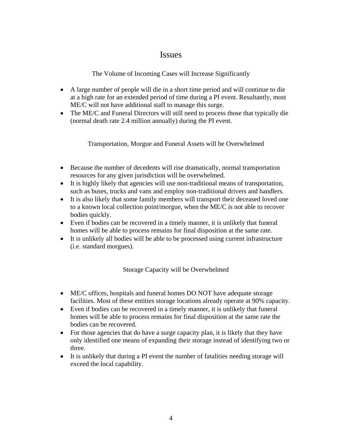## **Issues**

The Volume of Incoming Cases will Increase Significantly

- A large number of people will die in a short time period and will continue to die at a high rate for an extended period of time during a PI event. Resultantly, most ME/C will not have additional staff to manage this surge.
- The ME/C and Funeral Directors will still need to process those that typically die (normal death rate 2.4 million annually) during the PI event.

Transportation, Morgue and Funeral Assets will be Overwhelmed

- Because the number of decedents will rise dramatically, normal transportation resources for any given jurisdiction will be overwhelmed.
- It is highly likely that agencies will use non-traditional means of transportation, such as buses, trucks and vans and employ non-traditional drivers and handlers.
- It is also likely that some family members will transport their deceased loved one to a known local collection point/morgue, when the ME/C is not able to recover bodies quickly.
- Even if bodies can be recovered in a timely manner, it is unlikely that funeral homes will be able to process remains for final disposition at the same rate.
- It is unlikely all bodies will be able to be processed using current infrastructure (i.e. standard morgues).

Storage Capacity will be Overwhelmed

- ME/C offices, hospitals and funeral homes DO NOT have adequate storage facilities. Most of these entities storage locations already operate at 90% capacity.
- Even if bodies can be recovered in a timely manner, it is unlikely that funeral homes will be able to process remains for final disposition at the same rate the bodies can be recovered.
- For those agencies that do have a surge capacity plan, it is likely that they have only identified one means of expanding their storage instead of identifying two or three.
- It is unlikely that during a PI event the number of fatalities needing storage will exceed the local capability.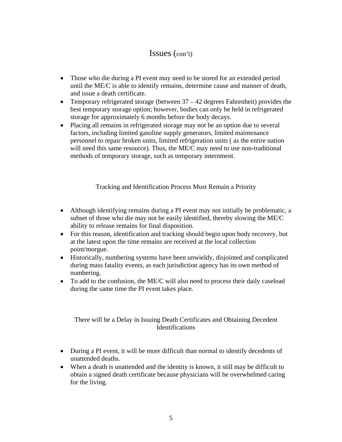- Those who die during a PI event may need to be stored for an extended period until the ME/C is able to identify remains, determine cause and manner of death, and issue a death certificate.
- Temporary refrigerated storage (between  $37 42$  degrees Fahrenheit) provides the best temporary storage option; however, bodies can only be held in refrigerated storage for approximately 6 months before the body decays.
- Placing all remains in refrigerated storage may not be an option due to several factors, including limited gasoline supply generators, limited maintenance personnel to repair broken units, limited refrigeration units ( as the entire nation will need this same resource). Thus, the ME/C may need to use non-traditional methods of temporary storage, such as temporary internment.

Tracking and Identification Process Must Remain a Priority

- Although identifying remains during a PI event may not initially be problematic, a subset of those who die may not be easily identified, thereby slowing the ME/C ability to release remains for final disposition.
- For this reason, identification and tracking should begin upon body recovery, but at the latest upon the time remains are received at the local collection point/morgue.
- Historically, numbering systems have been unwieldy, disjointed and complicated during mass fatality events, as each jurisdiction agency has its own method of numbering.
- To add to the confusion, the ME/C will also need to process their daily caseload during the same time the PI event takes place.

#### There will be a Delay in Issuing Death Certificates and Obtaining Decedent **Identifications**

- During a PI event, it will be more difficult than normal to identify decedents of unattended deaths.
- When a death is unattended and the identity is known, it still may be difficult to obtain a signed death certificate because physicians will be overwhelmed caring for the living.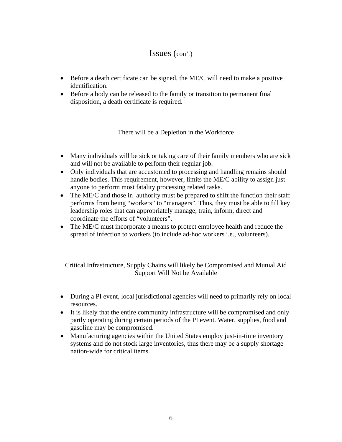- Before a death certificate can be signed, the ME/C will need to make a positive identification.
- Before a body can be released to the family or transition to permanent final disposition, a death certificate is required.

There will be a Depletion in the Workforce

- Many individuals will be sick or taking care of their family members who are sick and will not be available to perform their regular job.
- Only individuals that are accustomed to processing and handling remains should handle bodies. This requirement, however, limits the ME/C ability to assign just anyone to perform most fatality processing related tasks.
- The ME/C and those in authority must be prepared to shift the function their staff performs from being "workers" to "managers". Thus, they must be able to fill key leadership roles that can appropriately manage, train, inform, direct and coordinate the efforts of "volunteers".
- The ME/C must incorporate a means to protect employee health and reduce the spread of infection to workers (to include ad-hoc workers i.e., volunteers).

Critical Infrastructure, Supply Chains will likely be Compromised and Mutual Aid Support Will Not be Available

- During a PI event, local jurisdictional agencies will need to primarily rely on local resources.
- It is likely that the entire community infrastructure will be compromised and only partly operating during certain periods of the PI event. Water, supplies, food and gasoline may be compromised.
- Manufacturing agencies within the United States employ just-in-time inventory systems and do not stock large inventories, thus there may be a supply shortage nation-wide for critical items.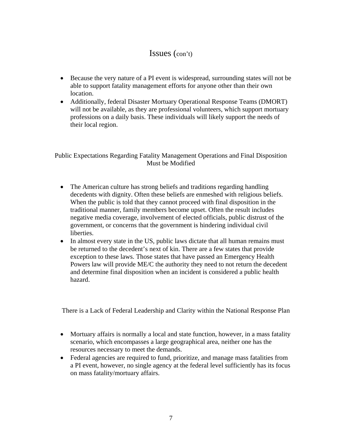- Because the very nature of a PI event is widespread, surrounding states will not be able to support fatality management efforts for anyone other than their own location.
- Additionally, federal Disaster Mortuary Operational Response Teams (DMORT) will not be available, as they are professional volunteers, which support mortuary professions on a daily basis. These individuals will likely support the needs of their local region.

Public Expectations Regarding Fatality Management Operations and Final Disposition Must be Modified

- The American culture has strong beliefs and traditions regarding handling decedents with dignity. Often these beliefs are enmeshed with religious beliefs. When the public is told that they cannot proceed with final disposition in the traditional manner, family members become upset. Often the result includes negative media coverage, involvement of elected officials, public distrust of the government, or concerns that the government is hindering individual civil liberties.
- In almost every state in the US, public laws dictate that all human remains must be returned to the decedent's next of kin. There are a few states that provide exception to these laws. Those states that have passed an Emergency Health Powers law will provide ME/C the authority they need to not return the decedent and determine final disposition when an incident is considered a public health hazard.

There is a Lack of Federal Leadership and Clarity within the National Response Plan

- Mortuary affairs is normally a local and state function, however, in a mass fatality scenario, which encompasses a large geographical area, neither one has the resources necessary to meet the demands.
- Federal agencies are required to fund, prioritize, and manage mass fatalities from a PI event, however, no single agency at the federal level sufficiently has its focus on mass fatality/mortuary affairs.